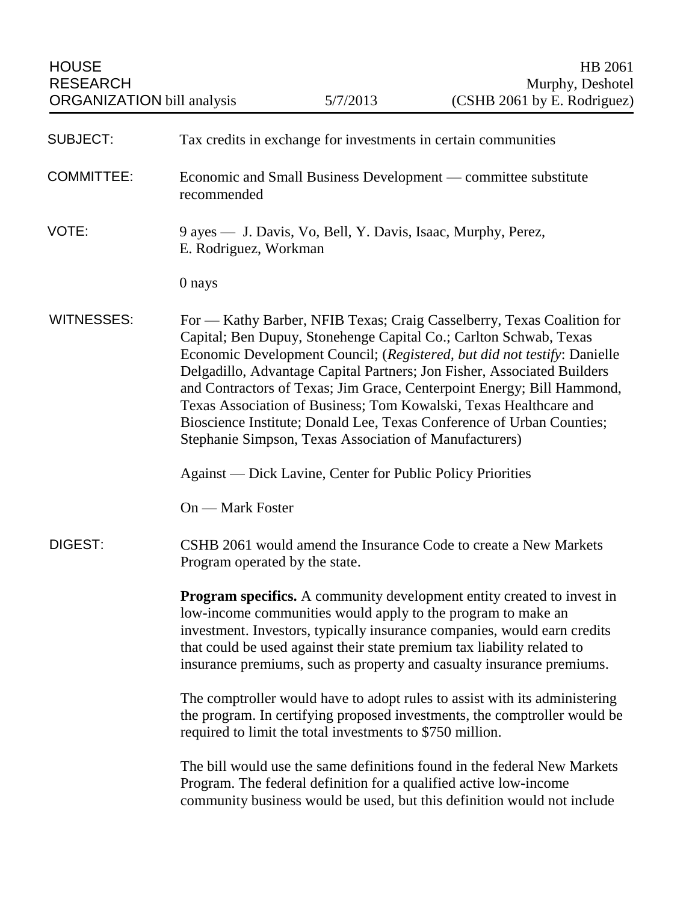| <b>SUBJECT:</b>   | Tax credits in exchange for investments in certain communities                                                                                                                                                                                                                                                                                                                                                                                                                                                                                                                       |
|-------------------|--------------------------------------------------------------------------------------------------------------------------------------------------------------------------------------------------------------------------------------------------------------------------------------------------------------------------------------------------------------------------------------------------------------------------------------------------------------------------------------------------------------------------------------------------------------------------------------|
| <b>COMMITTEE:</b> | Economic and Small Business Development — committee substitute<br>recommended                                                                                                                                                                                                                                                                                                                                                                                                                                                                                                        |
| VOTE:             | 9 ayes — J. Davis, Vo, Bell, Y. Davis, Isaac, Murphy, Perez,<br>E. Rodriguez, Workman                                                                                                                                                                                                                                                                                                                                                                                                                                                                                                |
|                   | 0 nays                                                                                                                                                                                                                                                                                                                                                                                                                                                                                                                                                                               |
| <b>WITNESSES:</b> | For — Kathy Barber, NFIB Texas; Craig Casselberry, Texas Coalition for<br>Capital; Ben Dupuy, Stonehenge Capital Co.; Carlton Schwab, Texas<br>Economic Development Council; (Registered, but did not testify: Danielle<br>Delgadillo, Advantage Capital Partners; Jon Fisher, Associated Builders<br>and Contractors of Texas; Jim Grace, Centerpoint Energy; Bill Hammond,<br>Texas Association of Business; Tom Kowalski, Texas Healthcare and<br>Bioscience Institute; Donald Lee, Texas Conference of Urban Counties;<br>Stephanie Simpson, Texas Association of Manufacturers) |
|                   | <b>Against</b> — Dick Lavine, Center for Public Policy Priorities                                                                                                                                                                                                                                                                                                                                                                                                                                                                                                                    |
|                   | On — Mark Foster                                                                                                                                                                                                                                                                                                                                                                                                                                                                                                                                                                     |
| DIGEST:           | CSHB 2061 would amend the Insurance Code to create a New Markets<br>Program operated by the state.                                                                                                                                                                                                                                                                                                                                                                                                                                                                                   |
|                   | <b>Program specifics.</b> A community development entity created to invest in<br>low-income communities would apply to the program to make an<br>investment. Investors, typically insurance companies, would earn credits<br>that could be used against their state premium tax liability related to<br>insurance premiums, such as property and casualty insurance premiums.                                                                                                                                                                                                        |
|                   | The comptroller would have to adopt rules to assist with its administering<br>the program. In certifying proposed investments, the comptroller would be<br>required to limit the total investments to \$750 million.                                                                                                                                                                                                                                                                                                                                                                 |
|                   | The bill would use the same definitions found in the federal New Markets<br>Program. The federal definition for a qualified active low-income<br>community business would be used, but this definition would not include                                                                                                                                                                                                                                                                                                                                                             |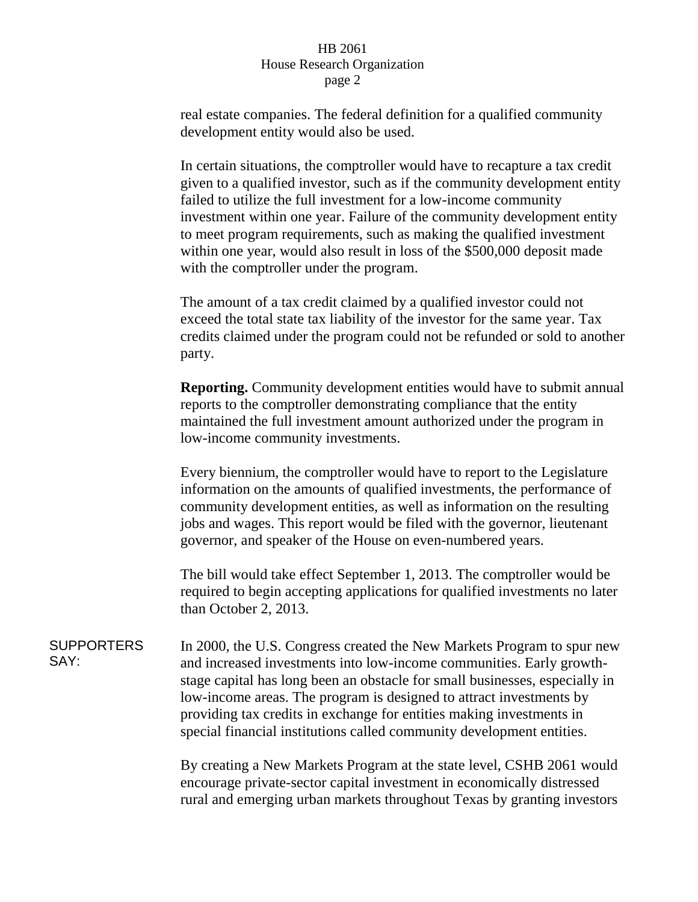## HB 2061 House Research Organization page 2

real estate companies. The federal definition for a qualified community development entity would also be used.

In certain situations, the comptroller would have to recapture a tax credit given to a qualified investor, such as if the community development entity failed to utilize the full investment for a low-income community investment within one year. Failure of the community development entity to meet program requirements, such as making the qualified investment within one year, would also result in loss of the \$500,000 deposit made with the comptroller under the program.

The amount of a tax credit claimed by a qualified investor could not exceed the total state tax liability of the investor for the same year. Tax credits claimed under the program could not be refunded or sold to another party.

**Reporting.** Community development entities would have to submit annual reports to the comptroller demonstrating compliance that the entity maintained the full investment amount authorized under the program in low-income community investments.

Every biennium, the comptroller would have to report to the Legislature information on the amounts of qualified investments, the performance of community development entities, as well as information on the resulting jobs and wages. This report would be filed with the governor, lieutenant governor, and speaker of the House on even-numbered years.

The bill would take effect September 1, 2013. The comptroller would be required to begin accepting applications for qualified investments no later than October 2, 2013.

**SUPPORTERS** SAY: In 2000, the U.S. Congress created the New Markets Program to spur new and increased investments into low-income communities. Early growthstage capital has long been an obstacle for small businesses, especially in low-income areas. The program is designed to attract investments by providing tax credits in exchange for entities making investments in special financial institutions called community development entities.

> By creating a New Markets Program at the state level, CSHB 2061 would encourage private-sector capital investment in economically distressed rural and emerging urban markets throughout Texas by granting investors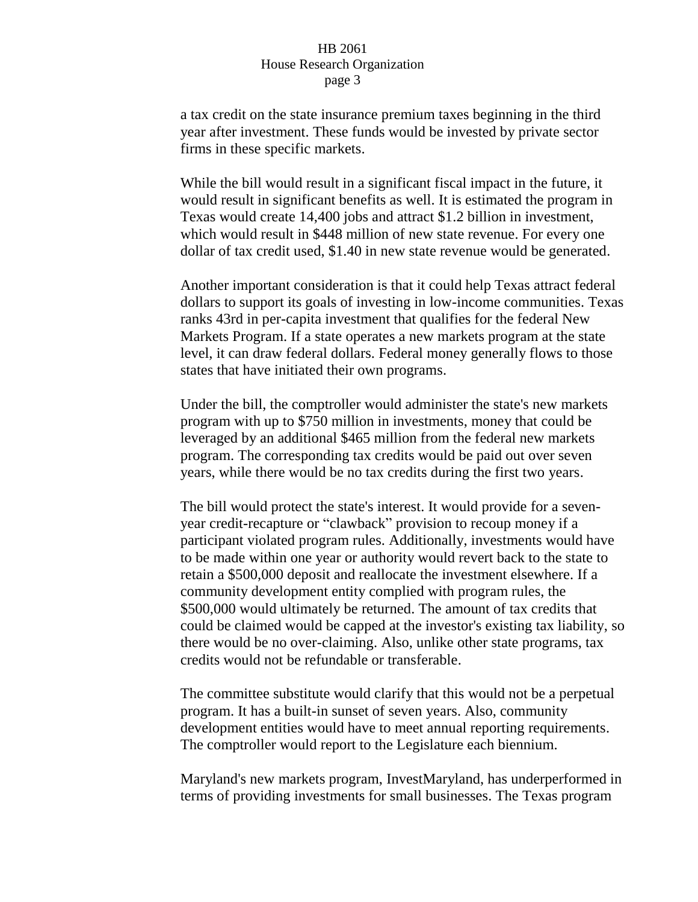## HB 2061 House Research Organization page 3

a tax credit on the state insurance premium taxes beginning in the third year after investment. These funds would be invested by private sector firms in these specific markets.

While the bill would result in a significant fiscal impact in the future, it would result in significant benefits as well. It is estimated the program in Texas would create 14,400 jobs and attract \$1.2 billion in investment, which would result in \$448 million of new state revenue. For every one dollar of tax credit used, \$1.40 in new state revenue would be generated.

Another important consideration is that it could help Texas attract federal dollars to support its goals of investing in low-income communities. Texas ranks 43rd in per-capita investment that qualifies for the federal New Markets Program. If a state operates a new markets program at the state level, it can draw federal dollars. Federal money generally flows to those states that have initiated their own programs.

Under the bill, the comptroller would administer the state's new markets program with up to \$750 million in investments, money that could be leveraged by an additional \$465 million from the federal new markets program. The corresponding tax credits would be paid out over seven years, while there would be no tax credits during the first two years.

The bill would protect the state's interest. It would provide for a sevenyear credit-recapture or "clawback" provision to recoup money if a participant violated program rules. Additionally, investments would have to be made within one year or authority would revert back to the state to retain a \$500,000 deposit and reallocate the investment elsewhere. If a community development entity complied with program rules, the \$500,000 would ultimately be returned. The amount of tax credits that could be claimed would be capped at the investor's existing tax liability, so there would be no over-claiming. Also, unlike other state programs, tax credits would not be refundable or transferable.

The committee substitute would clarify that this would not be a perpetual program. It has a built-in sunset of seven years. Also, community development entities would have to meet annual reporting requirements. The comptroller would report to the Legislature each biennium.

Maryland's new markets program, InvestMaryland, has underperformed in terms of providing investments for small businesses. The Texas program